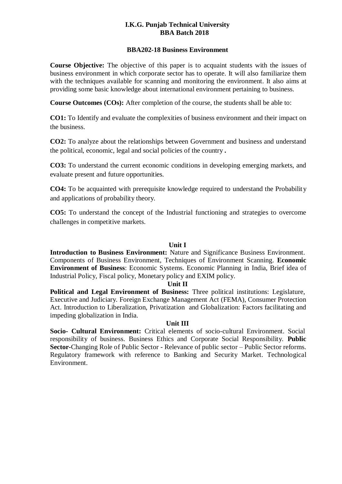### **I.K.G. Punjab Technical University BBA Batch 2018**

#### **BBA202-18 Business Environment**

**Course Objective:** The objective of this paper is to acquaint students with the issues of business environment in which corporate sector has to operate. It will also familiarize them with the techniques available for scanning and monitoring the environment. It also aims at providing some basic knowledge about international environment pertaining to business.

**Course Outcomes (COs):** After completion of the course, the students shall be able to:

**CO1:** To Identify and evaluate the complexities of business environment and their impact on the business.

**CO2:** To analyze about the relationships between Government and business and understand the political, economic, legal and social policies of the country **.**

**CO3:** To understand the current economic conditions in developing emerging markets, and evaluate present and future opportunities.

**CO4:** To be acquainted with prerequisite knowledge required to understand the Probability and applications of probability theory.

**CO5:** To understand the concept of the Industrial functioning and strategies to overcome challenges in competitive markets.

#### **Unit I**

**Introduction to Business Environment:** Nature and Significance Business Environment. Components of Business Environment, Techniques of Environment Scanning. **Economic Environment of Business**: Economic Systems. Economic Planning in India, Brief idea of Industrial Policy, Fiscal policy, Monetary policy and EXIM policy.

#### **Unit II**

**Political and Legal Environment of Business:** Three political institutions: Legislature, Executive and Judiciary. Foreign Exchange Management Act (FEMA), Consumer Protection Act. Introduction to Liberalization, Privatization and Globalization: Factors facilitating and impeding globalization in India.

#### **Unit III**

**Socio- Cultural Environment:** Critical elements of socio-cultural Environment. Social responsibility of business. Business Ethics and Corporate Social Responsibility. **Public Sector-**Changing Role of Public Sector - Relevance of public sector – Public Sector reforms. Regulatory framework with reference to Banking and Security Market. Technological Environment.